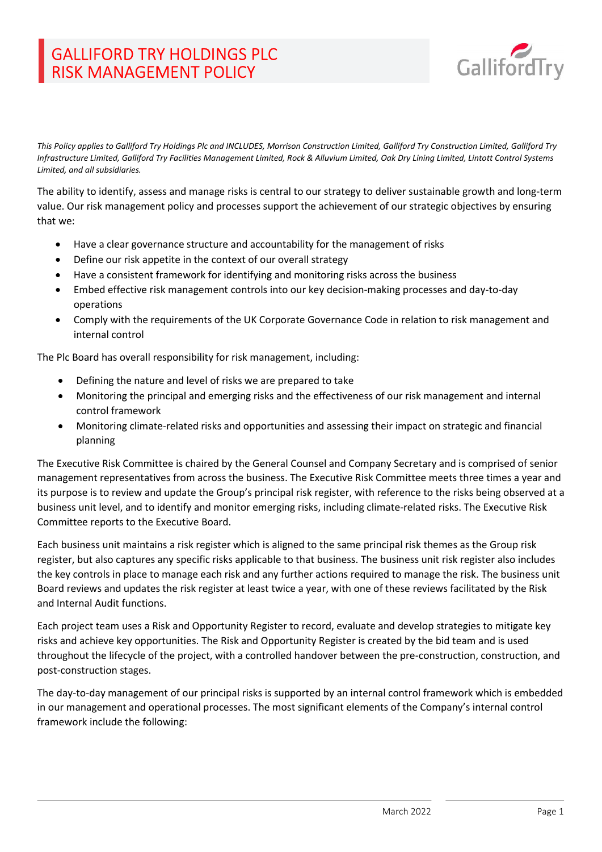# GALLIFORD TRY HOLDINGS PLC RISK MANAGEMENT POLICY



This Policy applies to Galliford Try Holdings Plc and INCLUDES, Morrison Construction Limited, Galliford Try Construction Limited, Galliford Try Infrastructure Limited, Galliford Try Facilities Management Limited, Rock & Alluvium Limited, Oak Dry Lining Limited, Lintott Control Systems Limited, and all subsidiaries.

The ability to identify, assess and manage risks is central to our strategy to deliver sustainable growth and long-term value. Our risk management policy and processes support the achievement of our strategic objectives by ensuring that we:

- Have a clear governance structure and accountability for the management of risks
- Define our risk appetite in the context of our overall strategy
- Have a consistent framework for identifying and monitoring risks across the business
- Embed effective risk management controls into our key decision-making processes and day-to-day operations
- Comply with the requirements of the UK Corporate Governance Code in relation to risk management and internal control

The Plc Board has overall responsibility for risk management, including:

- Defining the nature and level of risks we are prepared to take
- Monitoring the principal and emerging risks and the effectiveness of our risk management and internal control framework
- Monitoring climate-related risks and opportunities and assessing their impact on strategic and financial planning

The Executive Risk Committee is chaired by the General Counsel and Company Secretary and is comprised of senior management representatives from across the business. The Executive Risk Committee meets three times a year and its purpose is to review and update the Group's principal risk register, with reference to the risks being observed at a business unit level, and to identify and monitor emerging risks, including climate-related risks. The Executive Risk Committee reports to the Executive Board.

Each business unit maintains a risk register which is aligned to the same principal risk themes as the Group risk register, but also captures any specific risks applicable to that business. The business unit risk register also includes the key controls in place to manage each risk and any further actions required to manage the risk. The business unit Board reviews and updates the risk register at least twice a year, with one of these reviews facilitated by the Risk and Internal Audit functions.

Each project team uses a Risk and Opportunity Register to record, evaluate and develop strategies to mitigate key risks and achieve key opportunities. The Risk and Opportunity Register is created by the bid team and is used throughout the lifecycle of the project, with a controlled handover between the pre-construction, construction, and post-construction stages.

The day-to-day management of our principal risks is supported by an internal control framework which is embedded in our management and operational processes. The most significant elements of the Company's internal control framework include the following: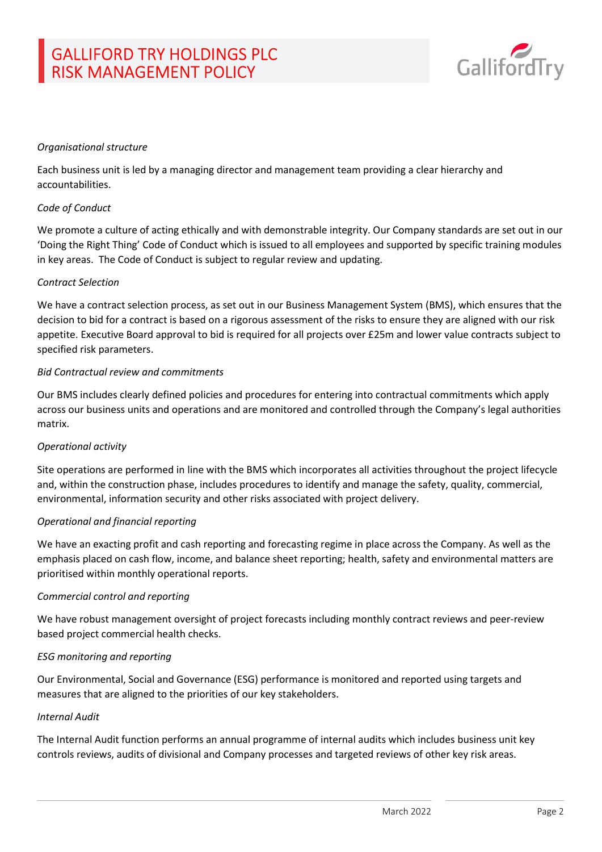

### Organisational structure

Each business unit is led by a managing director and management team providing a clear hierarchy and accountabilities.

### Code of Conduct

We promote a culture of acting ethically and with demonstrable integrity. Our Company standards are set out in our 'Doing the Right Thing' Code of Conduct which is issued to all employees and supported by specific training modules in key areas. The Code of Conduct is subject to regular review and updating.

#### Contract Selection

We have a contract selection process, as set out in our Business Management System (BMS), which ensures that the decision to bid for a contract is based on a rigorous assessment of the risks to ensure they are aligned with our risk appetite. Executive Board approval to bid is required for all projects over £25m and lower value contracts subject to specified risk parameters.

### Bid Contractual review and commitments

Our BMS includes clearly defined policies and procedures for entering into contractual commitments which apply across our business units and operations and are monitored and controlled through the Company's legal authorities matrix.

### Operational activity

Site operations are performed in line with the BMS which incorporates all activities throughout the project lifecycle and, within the construction phase, includes procedures to identify and manage the safety, quality, commercial, environmental, information security and other risks associated with project delivery.

### Operational and financial reporting

We have an exacting profit and cash reporting and forecasting regime in place across the Company. As well as the emphasis placed on cash flow, income, and balance sheet reporting; health, safety and environmental matters are prioritised within monthly operational reports.

### Commercial control and reporting

We have robust management oversight of project forecasts including monthly contract reviews and peer-review based project commercial health checks.

### ESG monitoring and reporting

Our Environmental, Social and Governance (ESG) performance is monitored and reported using targets and measures that are aligned to the priorities of our key stakeholders.

### Internal Audit

The Internal Audit function performs an annual programme of internal audits which includes business unit key controls reviews, audits of divisional and Company processes and targeted reviews of other key risk areas.